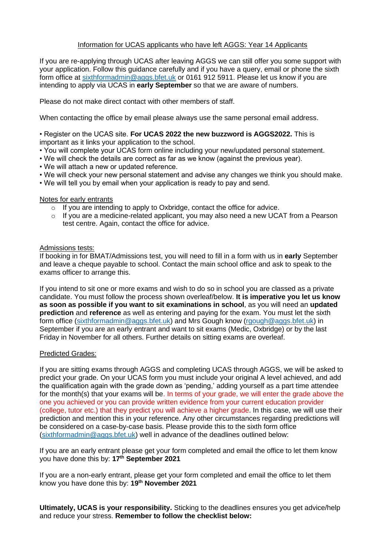# Information for UCAS applicants who have left AGGS: Year 14 Applicants

If you are re-applying through UCAS after leaving AGGS we can still offer you some support with your application. Follow this guidance carefully and if you have a query, email or phone the sixth form office at [sixthformadmin@aggs.bfet.uk](mailto:sixthformadmin@aggs.bfet.uk) or 0161 912 5911. Please let us know if you are intending to apply via UCAS in **early September** so that we are aware of numbers.

Please do not make direct contact with other members of staff.

When contacting the office by email please always use the same personal email address.

• Register on the UCAS site. **For UCAS 2022 the new buzzword is AGGS2022.** This is important as it links your application to the school.

- You will complete your UCAS form online including your new/updated personal statement.
- We will check the details are correct as far as we know (against the previous year).
- We will attach a new or updated reference.
- We will check your new personal statement and advise any changes we think you should make.
- We will tell you by email when your application is ready to pay and send.

## Notes for early entrants

- o If you are intending to apply to Oxbridge, contact the office for advice.
- $\circ$  If you are a medicine-related applicant, you may also need a new UCAT from a Pearson test centre. Again, contact the office for advice.

# Admissions tests:

If booking in for BMAT/Admissions test, you will need to fill in a form with us in **early** September and leave a cheque payable to school. Contact the main school office and ask to speak to the exams officer to arrange this.

If you intend to sit one or more exams and wish to do so in school you are classed as a private candidate. You must follow the process shown overleaf/below. **It is imperative you let us know as soon as possible if you want to sit examinations in school**, as you will need an **updated prediction** and **reference** as well as entering and paying for the exam. You must let the sixth form office [\(sixthformadmin@aggs.bfet.uk\)](mailto:sixthformadmin@aggs.bfet.uk) and Mrs Gough know [\(rgough@aggs.bfet.uk\)](mailto:rgough@aggs.bfet.uk) in September if you are an early entrant and want to sit exams (Medic, Oxbridge) or by the last Friday in November for all others. Further details on sitting exams are overleaf.

## Predicted Grades:

If you are sitting exams through AGGS and completing UCAS through AGGS, we will be asked to predict your grade. On your UCAS form you must include your original A level achieved, and add the qualification again with the grade down as 'pending,' adding yourself as a part time attendee for the month(s) that your exams will be. In terms of your grade, we will enter the grade above the one you achieved or you can provide written evidence from your current education provider (college, tutor etc.) that they predict you will achieve a higher grade. In this case, we will use their prediction and mention this in your reference. Any other circumstances regarding predictions will be considered on a case-by-case basis. Please provide this to the sixth form office [\(sixthformadmin@aggs.bfet.uk\)](mailto:sixthformadmin@aggs.bfet.uk) well in advance of the deadlines outlined below:

If you are an early entrant please get your form completed and email the office to let them know you have done this by: **17 th September 2021**

If you are a non-early entrant, please get your form completed and email the office to let them know you have done this by: **19th November 2021**

**Ultimately, UCAS is your responsibility.** Sticking to the deadlines ensures you get advice/help and reduce your stress. **Remember to follow the checklist below:**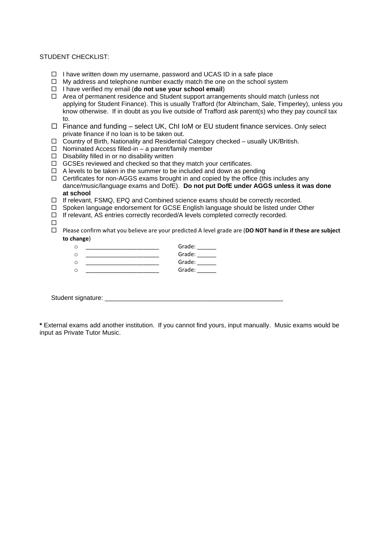#### STUDENT CHECKLIST:

- $\Box$  I have written down my username, password and UCAS ID in a safe place
- $\Box$  My address and telephone number exactly match the one on the school system
- I have verified my email (**do not use your school email**)
- Area of permanent residence and Student support arrangements should match (unless not applying for Student Finance). This is usually Trafford (for Altrincham, Sale, Timperley), unless you know otherwise. If in doubt as you live outside of Trafford ask parent(s) who they pay council tax to.
- $\Box$  Finance and funding select UK, ChI IoM or EU student finance services. Only select private finance if no loan is to be taken out.
- $\Box$  Country of Birth, Nationality and Residential Category checked usually UK/British.
- $\Box$  Nominated Access filled-in a parent/family member
- $\square$  Disability filled in or no disability written
- $\Box$  GCSEs reviewed and checked so that they match your certificates.
- $\Box$  A levels to be taken in the summer to be included and down as pending
- $\Box$  Certificates for non-AGGS exams brought in and copied by the office (this includes any dance/music/language exams and DofE). **Do not put DofE under AGGS unless it was done at school**
- $\Box$  If relevant, FSMQ, EPQ and Combined science exams should be correctly recorded.
- $\Box$  Spoken language endorsement for GCSE English language should be listed under Other
- $\Box$  If relevant, AS entries correctly recorded/A levels completed correctly recorded.
- $\Box$
- Please confirm what you believe are your predicted A level grade are (**DO NOT hand in if these are subject to change**)

|  | Grade: |
|--|--------|
|  | Grade: |
|  | Grade: |
|  | Grade: |

Student signature: \_

**\*** External exams add another institution. If you cannot find yours, input manually. Music exams would be input as Private Tutor Music.